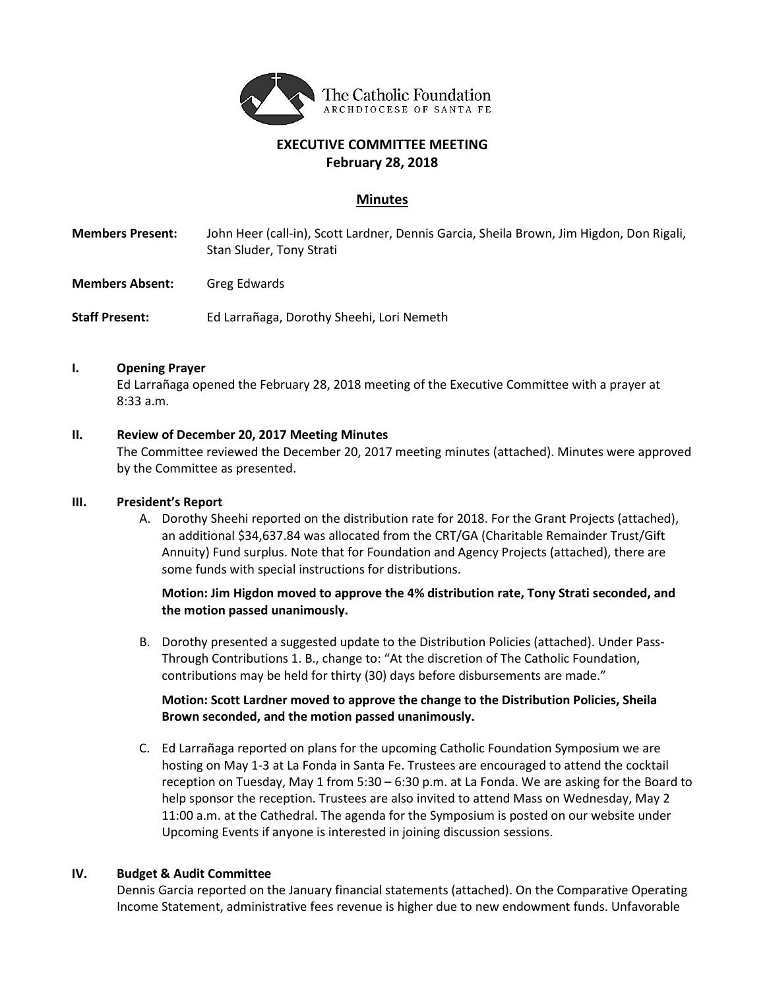

### **EXECUTIVE COMMITTEE MEETING February 28, 2018**

#### **Minutes**

**Members Present:** John Heer (call-in), Scott Lardner, Dennis Garcia, Sheila Brown, Jim Higdon, Don Rigali, Stan Sluder, Tony Strati

**Members Absent:** Greg Edwards

**Staff Present:** Ed Larrañaga, Dorothy Sheehi, Lori Nemeth

#### **I. Opening Prayer**

Ed Larrañaga opened the February 28, 2018 meeting of the Executive Committee with a prayer at 8:33 a.m.

#### **II. Review of December 20, 2017 Meeting Minutes**

The Committee reviewed the December 20, 2017 meeting minutes (attached). Minutes were approved by the Committee as presented.

#### **III. President's Report**

A. Dorothy Sheehi reported on the distribution rate for 2018. For the Grant Projects (attached), an additional \$34,637.84 was allocated from the CRT/GA (Charitable Remainder Trust/Gift Annuity) Fund surplus. Note that for Foundation and Agency Projects (attached), there are some funds with special instructions for distributions.

#### **Motion: Jim Higdon moved to approve the 4% distribution rate, Tony Strati seconded, and the motion passed unanimously.**

B. Dorothy presented a suggested update to the Distribution Policies (attached). Under Pass-Through Contributions 1. B., change to: "At the discretion of The Catholic Foundation, contributions may be held for thirty (30) days before disbursements are made."

**Motion: Scott Lardner moved to approve the change to the Distribution Policies, Sheila Brown seconded, and the motion passed unanimously.**

C. Ed Larrañaga reported on plans for the upcoming Catholic Foundation Symposium we are hosting on May 1-3 at La Fonda in Santa Fe. Trustees are encouraged to attend the cocktail reception on Tuesday, May 1 from 5:30 – 6:30 p.m. at La Fonda. We are asking for the Board to help sponsor the reception. Trustees are also invited to attend Mass on Wednesday, May 2 11:00 a.m. at the Cathedral. The agenda for the Symposium is posted on our website under Upcoming Events if anyone is interested in joining discussion sessions.

#### **IV. Budget & Audit Committee**

Dennis Garcia reported on the January financial statements (attached). On the Comparative Operating Income Statement, administrative fees revenue is higher due to new endowment funds. Unfavorable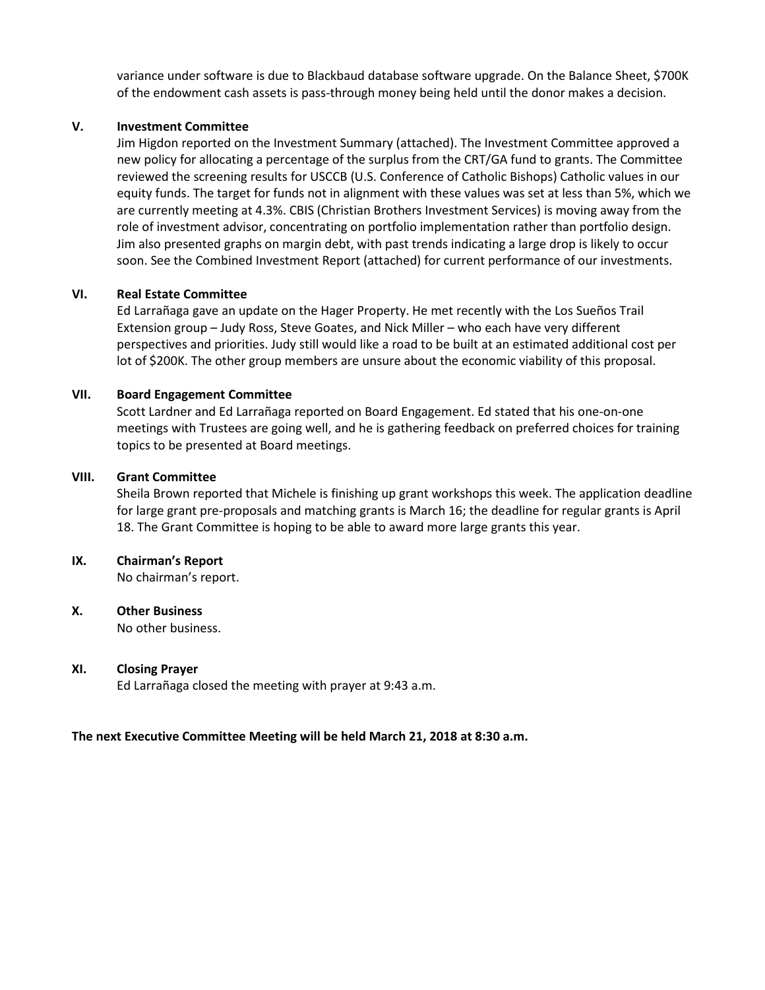variance under software is due to Blackbaud database software upgrade. On the Balance Sheet, \$700K of the endowment cash assets is pass-through money being held until the donor makes a decision.

#### **V. Investment Committee**

Jim Higdon reported on the Investment Summary (attached). The Investment Committee approved a new policy for allocating a percentage of the surplus from the CRT/GA fund to grants. The Committee reviewed the screening results for USCCB (U.S. Conference of Catholic Bishops) Catholic values in our equity funds. The target for funds not in alignment with these values was set at less than 5%, which we are currently meeting at 4.3%. CBIS (Christian Brothers Investment Services) is moving away from the role of investment advisor, concentrating on portfolio implementation rather than portfolio design. Jim also presented graphs on margin debt, with past trends indicating a large drop is likely to occur soon. See the Combined Investment Report (attached) for current performance of our investments.

#### **VI. Real Estate Committee**

Ed Larrañaga gave an update on the Hager Property. He met recently with the Los Sueños Trail Extension group – Judy Ross, Steve Goates, and Nick Miller – who each have very different perspectives and priorities. Judy still would like a road to be built at an estimated additional cost per lot of \$200K. The other group members are unsure about the economic viability of this proposal.

#### **VII. Board Engagement Committee**

Scott Lardner and Ed Larrañaga reported on Board Engagement. Ed stated that his one-on-one meetings with Trustees are going well, and he is gathering feedback on preferred choices for training topics to be presented at Board meetings.

#### **VIII. Grant Committee**

Sheila Brown reported that Michele is finishing up grant workshops this week. The application deadline for large grant pre-proposals and matching grants is March 16; the deadline for regular grants is April 18. The Grant Committee is hoping to be able to award more large grants this year.

#### **IX. Chairman's Report**

No chairman's report.

# **X. Other Business**

No other business.

#### **XI. Closing Prayer**

Ed Larrañaga closed the meeting with prayer at 9:43 a.m.

#### **The next Executive Committee Meeting will be held March 21, 2018 at 8:30 a.m.**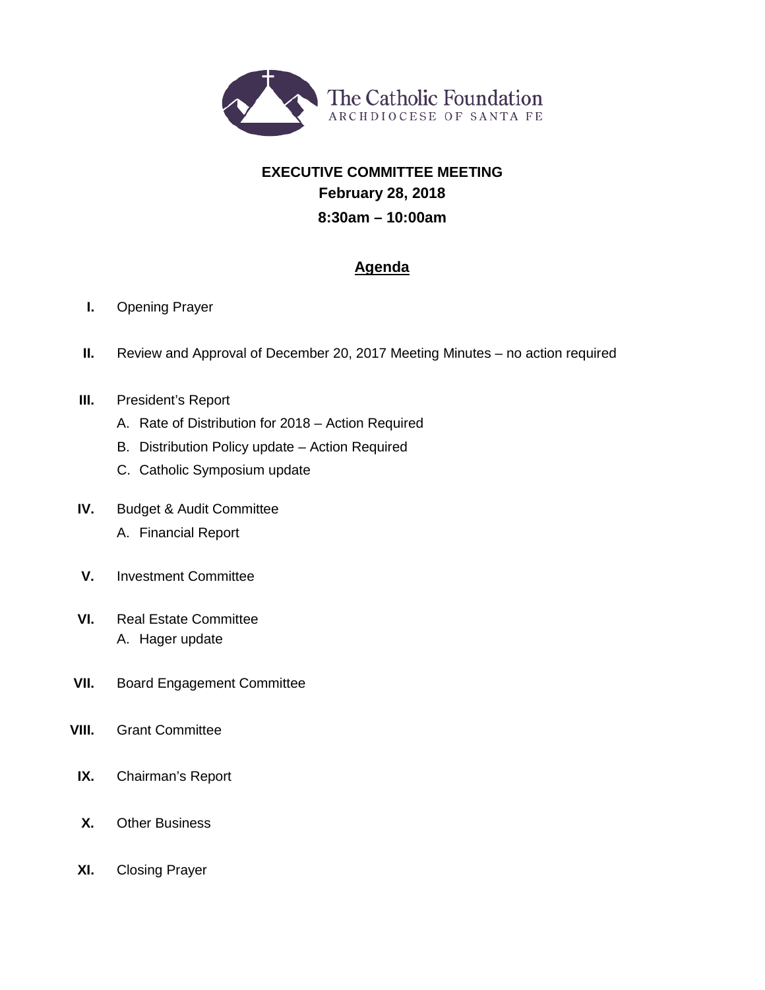

# **EXECUTIVE COMMITTEE MEETING February 28, 2018 8:30am – 10:00am**

# **Agenda**

- **I.** Opening Prayer
- **II.** Review and Approval of December 20, 2017 Meeting Minutes no action required
- **III.** President's Report
	- A. Rate of Distribution for 2018 Action Required
	- B. Distribution Policy update Action Required
	- C. Catholic Symposium update
- **IV.** Budget & Audit Committee
	- A. Financial Report
- **V.** Investment Committee
- **VI.** Real Estate Committee A. Hager update
- **VII.** Board Engagement Committee
- **VIII.** Grant Committee
- **IX.** Chairman's Report
- **X.** Other Business
- **XI.** Closing Prayer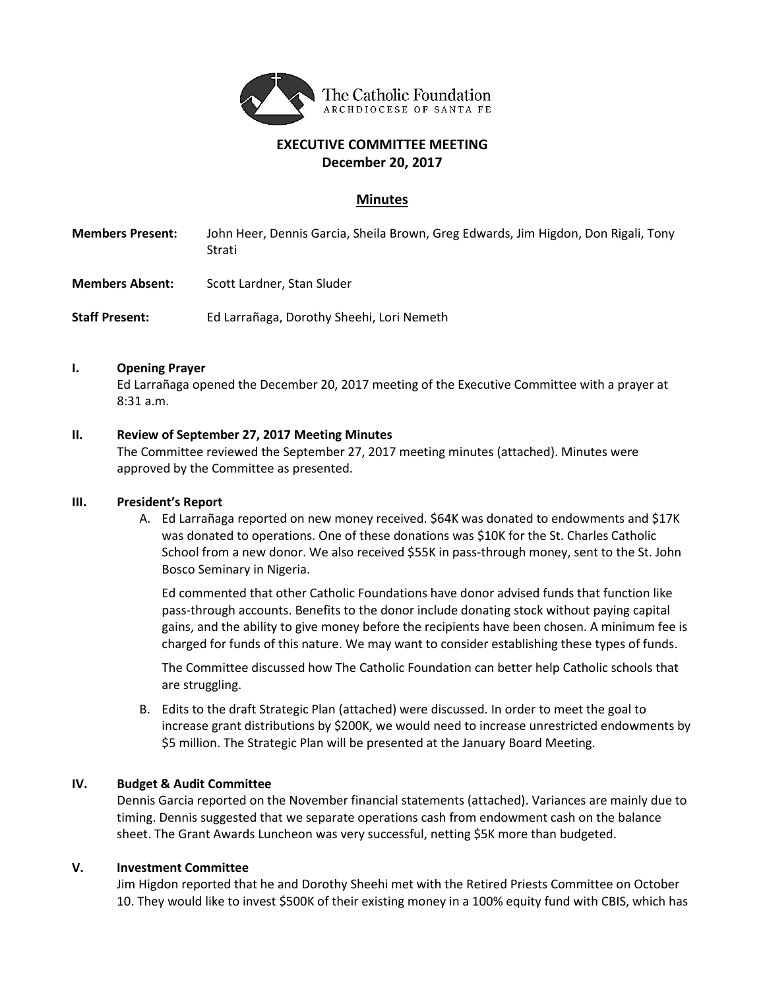

### **EXECUTIVE COMMITTEE MEETING December 20, 2017**

#### **Minutes**

- **Members Present:** John Heer, Dennis Garcia, Sheila Brown, Greg Edwards, Jim Higdon, Don Rigali, Tony Strati
- **Members Absent:** Scott Lardner, Stan Sluder

**Staff Present:** Ed Larrañaga, Dorothy Sheehi, Lori Nemeth

#### **I. Opening Prayer**

Ed Larrañaga opened the December 20, 2017 meeting of the Executive Committee with a prayer at 8:31 a.m.

#### **II. Review of September 27, 2017 Meeting Minutes**

The Committee reviewed the September 27, 2017 meeting minutes (attached). Minutes were approved by the Committee as presented.

#### **III. President's Report**

A. Ed Larrañaga reported on new money received. \$64K was donated to endowments and \$17K was donated to operations. One of these donations was \$10K for the St. Charles Catholic School from a new donor. We also received \$55K in pass-through money, sent to the St. John Bosco Seminary in Nigeria.

Ed commented that other Catholic Foundations have donor advised funds that function like pass-through accounts. Benefits to the donor include donating stock without paying capital gains, and the ability to give money before the recipients have been chosen. A minimum fee is charged for funds of this nature. We may want to consider establishing these types of funds.

The Committee discussed how The Catholic Foundation can better help Catholic schools that are struggling.

B. Edits to the draft Strategic Plan (attached) were discussed. In order to meet the goal to increase grant distributions by \$200K, we would need to increase unrestricted endowments by \$5 million. The Strategic Plan will be presented at the January Board Meeting.

#### **IV. Budget & Audit Committee**

Dennis Garcia reported on the November financial statements (attached). Variances are mainly due to timing. Dennis suggested that we separate operations cash from endowment cash on the balance sheet. The Grant Awards Luncheon was very successful, netting \$5K more than budgeted.

#### **V. Investment Committee**

Jim Higdon reported that he and Dorothy Sheehi met with the Retired Priests Committee on October 10. They would like to invest \$500K of their existing money in a 100% equity fund with CBIS, which has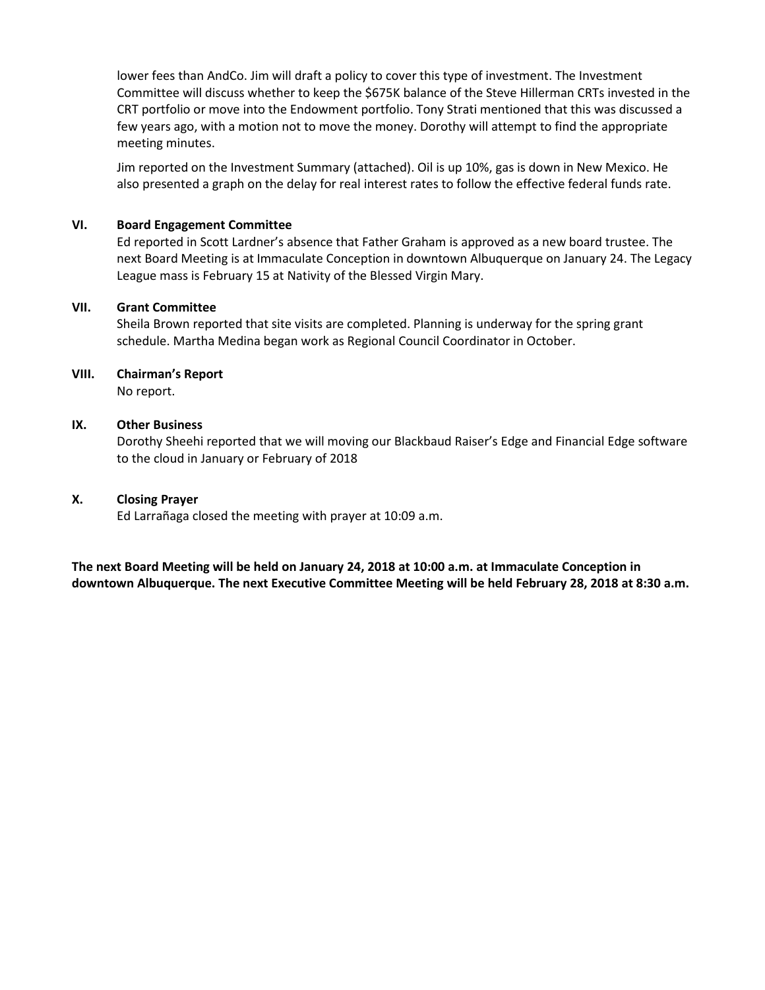lower fees than AndCo. Jim will draft a policy to cover this type of investment. The Investment Committee will discuss whether to keep the \$675K balance of the Steve Hillerman CRTs invested in the CRT portfolio or move into the Endowment portfolio. Tony Strati mentioned that this was discussed a few years ago, with a motion not to move the money. Dorothy will attempt to find the appropriate meeting minutes.

Jim reported on the Investment Summary (attached). Oil is up 10%, gas is down in New Mexico. He also presented a graph on the delay for real interest rates to follow the effective federal funds rate.

#### **VI. Board Engagement Committee**

Ed reported in Scott Lardner's absence that Father Graham is approved as a new board trustee. The next Board Meeting is at Immaculate Conception in downtown Albuquerque on January 24. The Legacy League mass is February 15 at Nativity of the Blessed Virgin Mary.

#### **VII. Grant Committee**

Sheila Brown reported that site visits are completed. Planning is underway for the spring grant schedule. Martha Medina began work as Regional Council Coordinator in October.

#### **VIII. Chairman's Report**

No report.

#### **IX. Other Business**

Dorothy Sheehi reported that we will moving our Blackbaud Raiser's Edge and Financial Edge software to the cloud in January or February of 2018

#### **X. Closing Prayer**

Ed Larrañaga closed the meeting with prayer at 10:09 a.m.

**The next Board Meeting will be held on January 24, 2018 at 10:00 a.m. at Immaculate Conception in downtown Albuquerque. The next Executive Committee Meeting will be held February 28, 2018 at 8:30 a.m.**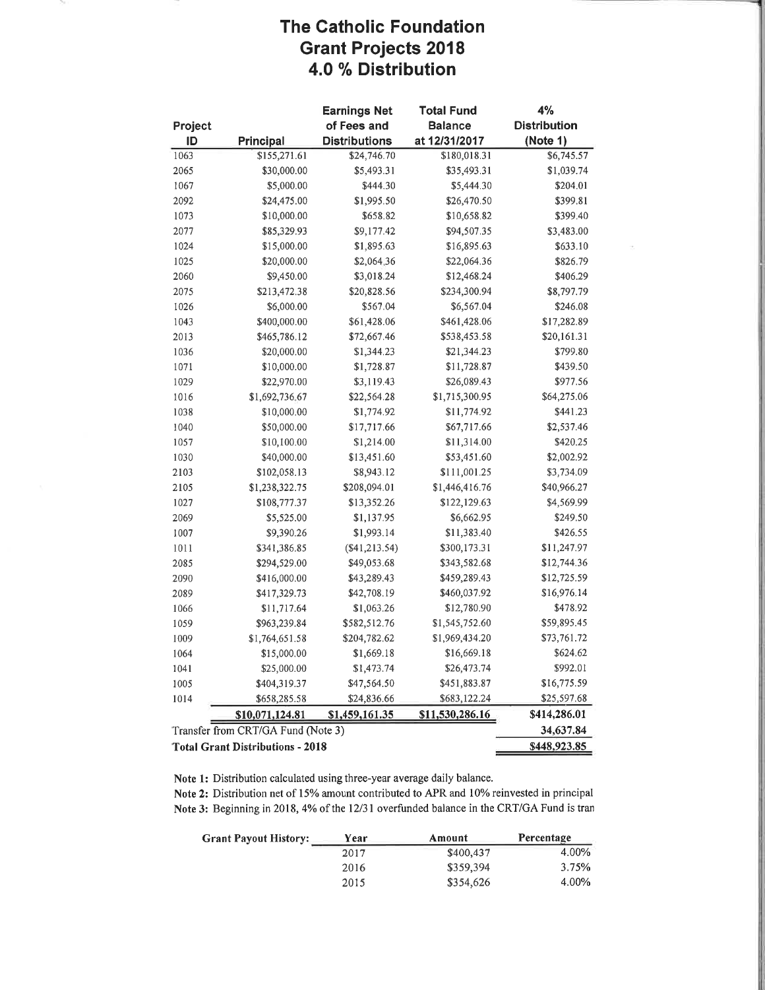# **The Catholic Foundation Grant Projects 2018** 4.0 % Distribution

|         |                                         | <b>Earnings Net</b>  | <b>Total Fund</b> | 4%                  |
|---------|-----------------------------------------|----------------------|-------------------|---------------------|
| Project |                                         | of Fees and          | <b>Balance</b>    | <b>Distribution</b> |
| ID      | Principal                               | <b>Distributions</b> | at 12/31/2017     | (Note 1)            |
| 1063    | \$155,271.61                            | \$24,746.70          | \$180,018.31      | \$6,745.57          |
| 2065    | \$30,000.00                             | \$5,493.31           | \$35,493.31       | \$1,039.74          |
| 1067    | \$5,000.00                              | \$444.30             | \$5,444.30        | \$204.01            |
| 2092    | \$24,475.00                             | \$1,995.50           | \$26,470.50       | \$399.81            |
| 1073    | \$10,000.00                             | \$658.82             | \$10,658.82       | \$399.40            |
| 2077    | \$85,329.93                             | \$9,177.42           | \$94,507.35       | \$3,483.00          |
| 1024    | \$15,000.00                             | \$1,895.63           | \$16,895.63       | \$633.10            |
| 1025    | \$20,000.00                             | \$2,064.36           | \$22,064.36       | \$826.79            |
| 2060    | \$9,450.00                              | \$3,018.24           | \$12,468.24       | \$406.29            |
| 2075    | \$213,472.38                            | \$20,828.56          | \$234,300.94      | \$8,797.79          |
| 1026    | \$6,000.00                              | \$567.04             | \$6,567.04        | \$246.08            |
| 1043    | \$400,000.00                            | \$61,428.06          | \$461,428.06      | \$17,282.89         |
| 2013    | \$465,786.12                            | \$72,667.46          | \$538,453.58      | \$20,161.31         |
| 1036    | \$20,000.00                             | \$1,344.23           | \$21,344.23       | \$799.80            |
| 1071    | \$10,000.00                             | \$1,728.87           | \$11,728.87       | \$439.50            |
| 1029    | \$22,970.00                             | \$3,119.43           | \$26,089.43       | \$977.56            |
| 1016    | \$1,692,736.67                          | \$22,564.28          | \$1,715,300.95    | \$64,275.06         |
| 1038    | \$10,000.00                             | \$1,774.92           | \$11,774.92       | \$441.23            |
| 1040    | \$50,000.00                             | \$17,717.66          | \$67,717.66       | \$2,537.46          |
| 1057    | \$10,100.00                             | \$1,214.00           | \$11,314.00       | \$420.25            |
| 1030    | \$40,000.00                             | \$13,451.60          | \$53,451.60       | \$2,002.92          |
| 2103    | \$102,058.13                            | \$8,943.12           | \$111,001.25      | \$3,734.09          |
| 2105    | \$1,238,322.75                          | \$208,094.01         | \$1,446,416.76    | \$40,966.27         |
| 1027    | \$108,777.37                            | \$13,352.26          | \$122,129.63      | \$4,569.99          |
| 2069    | \$5,525.00                              | \$1,137.95           | \$6,662.95        | \$249.50            |
| 1007    | \$9,390.26                              | \$1,993.14           | \$11,383.40       | \$426.55            |
| 1011    | \$341,386.85                            | (\$41,213.54)        | \$300,173.31      | \$11,247.97         |
| 2085    | \$294,529.00                            | \$49,053.68          | \$343,582.68      | \$12,744.36         |
| 2090    | \$416,000.00                            | \$43,289.43          | \$459,289.43      | \$12,725.59         |
| 2089    | \$417,329.73                            | \$42,708.19          | \$460,037.92      | \$16,976.14         |
| 1066    | \$11,717.64                             | \$1,063.26           | \$12,780.90       | \$478.92            |
| 1059    | \$963,239.84                            | \$582,512.76         | \$1,545,752.60    | \$59,895.45         |
| 1009    | \$1,764,651.58                          | \$204,782.62         | \$1,969,434.20    | \$73,761.72         |
| 1064    | \$15,000.00                             | \$1,669.18           | \$16,669.18       | \$624.62            |
| 1041    | \$25,000.00                             | \$1,473.74           | \$26,473.74       | \$992.01            |
| 1005    | \$404,319.37                            | \$47,564.50          | \$451,883.87      | \$16,775.59         |
| 1014    | \$658,285.58                            | \$24,836.66          | \$683,122.24      | \$25,597.68         |
|         | \$10,071,124.81                         | \$1,459,161.35       | \$11,530,286.16   | \$414,286.01        |
|         | Transfer from CRT/GA Fund (Note 3)      |                      |                   | 34,637.84           |
|         | <b>Total Grant Distributions - 2018</b> |                      |                   | \$448,923.85        |

Note 1: Distribution calculated using three-year average daily balance.

Note 2: Distribution net of 15% amount contributed to APR and 10% reinvested in principal Note 3: Beginning in 2018, 4% of the 12/31 overfunded balance in the CRT/GA Fund is tran

| <b>Grant Payout History:</b> | Year | Amount    | Percentage |
|------------------------------|------|-----------|------------|
|                              | 2017 | \$400.437 | 4.00%      |
|                              | 2016 | \$359,394 | 3.75%      |
|                              | 2015 | \$354,626 | 4.00%      |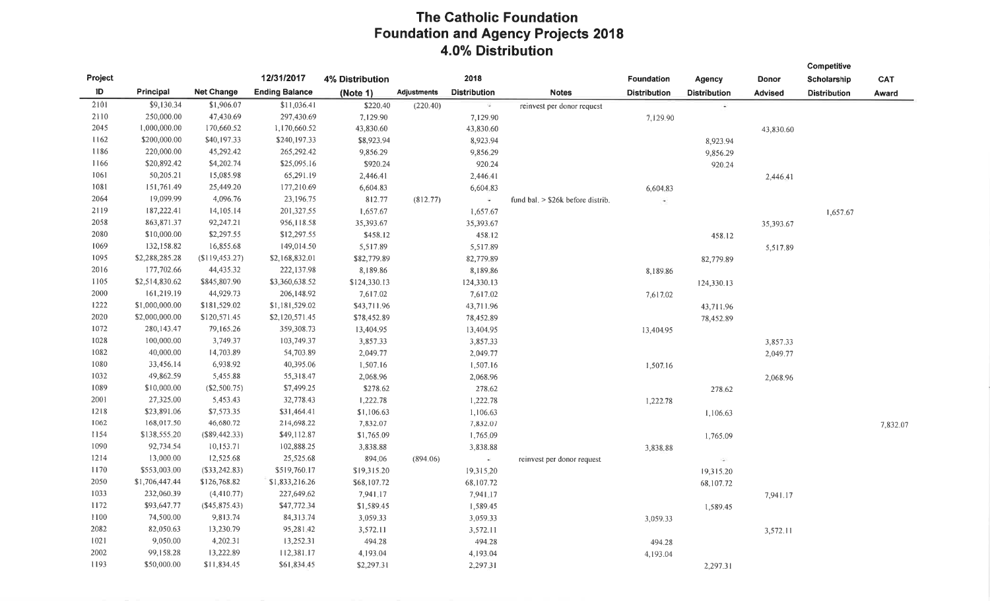# **The Catholic Foundation Foundation and Agency Projects 2018** 4.0% Distribution

|         |                |                   |                       |                        |                    |                          |                                   |                          |                     |                | Competitive         |            |
|---------|----------------|-------------------|-----------------------|------------------------|--------------------|--------------------------|-----------------------------------|--------------------------|---------------------|----------------|---------------------|------------|
| Project |                |                   | 12/31/2017            | <b>4% Distribution</b> |                    | 2018                     |                                   | <b>Foundation</b>        | Agency              | <b>Donor</b>   | Scholarship         | <b>CAT</b> |
| ID      | Principal      | <b>Net Change</b> | <b>Ending Balance</b> | (Note 1)               | <b>Adjustments</b> | <b>Distribution</b>      | <b>Notes</b>                      | <b>Distribution</b>      | <b>Distribution</b> | <b>Advised</b> | <b>Distribution</b> | Award      |
| 2101    | \$9,130.34     | \$1,906.07        | \$11,036.41           | \$220.40               | (220.40)           | $\overline{\mathcal{L}}$ | reinvest per donor request        |                          | $\sim$              |                |                     |            |
| 2110    | 250,000.00     | 47,430.69         | 297,430.69            | 7,129.90               |                    | 7,129.90                 |                                   | 7,129.90                 |                     |                |                     |            |
| 2045    | 1,000,000.00   | 170,660.52        | 1,170,660.52          | 43,830.60              |                    | 43,830.60                |                                   |                          |                     | 43,830.60      |                     |            |
| 1162    | \$200,000.00   | \$40,197.33       | \$240,197.33          | \$8,923.94             |                    | 8,923.94                 |                                   |                          | 8,923.94            |                |                     |            |
| 1186    | 220,000.00     | 45,292.42         | 265,292.42            | 9,856.29               |                    | 9,856.29                 |                                   |                          | 9,856.29            |                |                     |            |
| 1166    | \$20,892.42    | \$4,202.74        | \$25,095.16           | \$920.24               |                    | 920.24                   |                                   |                          | 920.24              |                |                     |            |
| 1061    | 50,205.21      | 15,085.98         | 65,291.19             | 2,446.41               |                    | 2,446.41                 |                                   |                          |                     | 2,446.41       |                     |            |
| 1081    | 151,761.49     | 25,449.20         | 177,210.69            | 6,604.83               |                    | 6,604.83                 |                                   | 6,604,83                 |                     |                |                     |            |
| 2064    | 19,099.99      | 4,096.76          | 23,196.75             | 812.77                 | (812.77)           | $\overline{\phantom{a}}$ | fund bal. > \$26k before distrib. | $\overline{\phantom{a}}$ |                     |                |                     |            |
| 2119    | 187,222.41     | 14,105.14         | 201,327,55            | 1,657.67               |                    | 1,657.67                 |                                   |                          |                     |                | 1,657.67            |            |
| 2058    | 863,871.37     | 92,247.21         | 956,118.58            | 35,393.67              |                    | 35,393.67                |                                   |                          |                     | 35,393.67      |                     |            |
| 2080    | \$10,000.00    | \$2,297.55        | \$12,297.55           | \$458.12               |                    | 458.12                   |                                   |                          | 458.12              |                |                     |            |
| 1069    | 132,158.82     | 16,855.68         | 149,014.50            | 5,517.89               |                    | 5,517.89                 |                                   |                          |                     | 5,517.89       |                     |            |
| 1095    | \$2,288,285.28 | (\$119,453.27)    | \$2,168,832.01        | \$82,779.89            |                    | 82,779.89                |                                   |                          | 82,779.89           |                |                     |            |
| 2016    | 177,702.66     | 44,435.32         | 222,137.98            | 8,189.86               |                    | 8,189.86                 |                                   | 8,189.86                 |                     |                |                     |            |
| 1105    | \$2,514,830.62 | \$845,807.90      | \$3,360,638.52        | \$124,330.13           |                    | 124,330.13               |                                   |                          | 124,330.13          |                |                     |            |
| 2000    | 161,219.19     | 44,929.73         | 206,148.92            | 7,617.02               |                    | 7,617.02                 |                                   | 7,617.02                 |                     |                |                     |            |
| 1222    | \$1,000,000.00 | \$181,529.02      | \$1,181,529.02        | \$43,711.96            |                    | 43,711.96                |                                   |                          | 43,711.96           |                |                     |            |
| 2020    | \$2,000,000.00 | \$120,571.45      | \$2,120,571.45        | \$78,452.89            |                    | 78,452.89                |                                   |                          | 78,452.89           |                |                     |            |
| 1072    | 280, 143. 47   | 79,165.26         | 359,308.73            | 13,404.95              |                    | 13,404.95                |                                   | 13,404.95                |                     |                |                     |            |
| 1028    | 100,000.00     | 3,749.37          | 103,749.37            | 3,857.33               |                    | 3,857.33                 |                                   |                          |                     | 3,857.33       |                     |            |
| 1082    | 40,000.00      | 14,703.89         | 54,703.89             | 2,049.77               |                    | 2,049.77                 |                                   |                          |                     | 2,049.77       |                     |            |
| 1080    | 33,456.14      | 6,938.92          | 40,395.06             | 1,507.16               |                    | 1,507.16                 |                                   | 1,507.16                 |                     |                |                     |            |
| 1032    | 49,862.59      | 5,455.88          | 55,318.47             | 2,068.96               |                    | 2,068.96                 |                                   |                          |                     | 2,068.96       |                     |            |
| 1089    | \$10,000.00    | (\$2,500.75)      | \$7,499.25            | \$278.62               |                    | 278.62                   |                                   |                          | 278.62              |                |                     |            |
| 2001    | 27,325.00      | 5,453.43          | 32,778.43             | 1,222.78               |                    | 1,222.78                 |                                   | 1,222,78                 |                     |                |                     |            |
| 1218    | \$23,891.06    | \$7,573.35        | \$31,464.41           | \$1,106.63             |                    | 1,106.63                 |                                   |                          | 1,106.63            |                |                     |            |
| 1062    | 168,017.50     | 46,680.72         | 214,698.22            | 7,832.07               |                    | 7,832.07                 |                                   |                          |                     |                |                     | 7,832.07   |
| 1154    | \$138,555.20   | (\$89,442,33)     | \$49,112.87           | \$1,765.09             |                    | 1,765.09                 |                                   |                          | 1,765.09            |                |                     |            |
| 1090    | 92,734.54      | 10,153.71         | 102,888.25            | 3,838.88               |                    | 3,838.88                 |                                   | 3,838.88                 |                     |                |                     |            |
| 1214    | 13,000.00      | 12,525.68         | 25,525.68             | 894.06                 | (894.06)           | $\bullet$ .              | reinvest per donor request        |                          | $\sim$              |                |                     |            |
| 1170    | \$553,003.00   | $(\$33,242.83)$   | \$519,760.17          | \$19,315.20            |                    | 19,315,20                |                                   |                          | 19,315.20           |                |                     |            |
| 2050    | \$1,706,447.44 | \$126,768.82      | \$1,833,216.26        | \$68,107.72            |                    | 68,107.72                |                                   |                          | 68,107.72           |                |                     |            |
| 1033    | 232,060.39     | (4,410.77)        | 227,649.62            | 7,941.17               |                    | 7,941,17                 |                                   |                          |                     | 7,941.17       |                     |            |
| 1172    | \$93,647.77    | (S45, 875.43)     | \$47,772.34           | \$1,589.45             |                    | 1,589.45                 |                                   |                          | 1,589.45            |                |                     |            |
| 1100    | 74,500.00      | 9,813.74          | 84,313.74             | 3,059.33               |                    | 3,059.33                 |                                   | 3,059:33                 |                     |                |                     |            |
| 2082    | 82,050.63      | 13,230.79         | 95,281.42             | 3,572.11               |                    | 3,572.11                 |                                   |                          |                     | 3,572.11       |                     |            |
| 1021    | 9,050.00       | 4,202.31          | 13,252.31             | 494.28                 |                    | 494.28                   |                                   | 494.28                   |                     |                |                     |            |
| 2002    | 99,158.28      | 13,222.89         | 112,381.17            | 4,193.04               |                    | 4,193.04                 |                                   | 4,193.04                 |                     |                |                     |            |
| 1193    | \$50,000.00    | \$11,834.45       | \$61,834.45           | \$2,297.31             |                    | 2,297.31                 |                                   |                          | 2,297.31            |                |                     |            |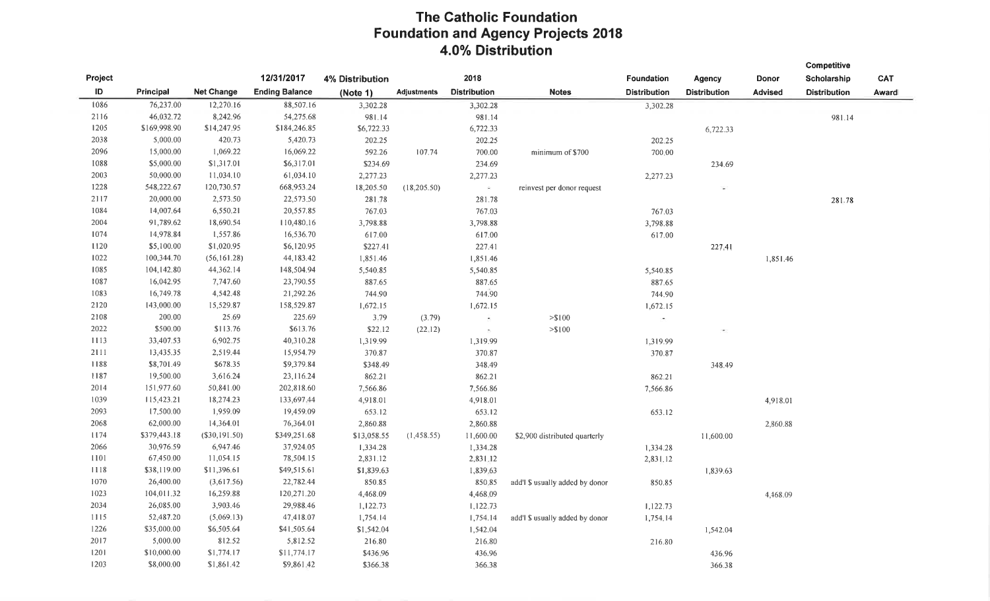# **The Catholic Foundation Foundation and Agency Projects 2018**<br>4.0% Distribution

|         |                  |                   |                       |                        |                    |                     |                                 |                     |                     |                | Competitive         |            |
|---------|------------------|-------------------|-----------------------|------------------------|--------------------|---------------------|---------------------------------|---------------------|---------------------|----------------|---------------------|------------|
| Project |                  |                   | 12/31/2017            | <b>4% Distribution</b> |                    | 2018                |                                 | <b>Foundation</b>   | Agency              | <b>Donor</b>   | Scholarship         | <b>CAT</b> |
| ID      | <b>Principal</b> | <b>Net Change</b> | <b>Ending Balance</b> | (Note 1)               | <b>Adjustments</b> | <b>Distribution</b> | <b>Notes</b>                    | <b>Distribution</b> | <b>Distribution</b> | <b>Advised</b> | <b>Distribution</b> | Award      |
| 1086    | 76,237.00        | 12,270.16         | 88,507.16             | 3,302.28               |                    | 3,302.28            |                                 | 3,302.28            |                     |                |                     |            |
| 2116    | 46,032.72        | 8,242.96          | 54,275.68             | 981.14                 |                    | 981.14              |                                 |                     |                     |                | 981.14              |            |
| 1205    | \$169,998.90     | \$14,247.95       | \$184,246.85          | \$6,722.33             |                    | 6,722.33            |                                 |                     | 6,722.33            |                |                     |            |
| 2038    | 5,000.00         | 420.73            | 5,420.73              | 202.25                 |                    | 202.25              |                                 | 202,25              |                     |                |                     |            |
| 2096    | 15,000.00        | 1,069.22          | 16,069.22             | 592.26                 | 107.74             | 700.00              | minimum of \$700                | 700.00              |                     |                |                     |            |
| 1088    | \$5,000.00       | \$1,317.01        | \$6,317.01            | \$234.69               |                    | 234.69              |                                 |                     | 234.69              |                |                     |            |
| 2003    | 50,000.00        | 11.034.10         | 61,034.10             | 2,277.23               |                    | 2,277.23            |                                 | 2,277.23            |                     |                |                     |            |
| 1228    | 548,222.67       | 120,730.57        | 668,953.24            | 18,205.50              | (18,205.50)        | $\sim$              | reinvest per donor request      |                     | ÷,                  |                |                     |            |
| 2117    | 20,000.00        | 2,573.50          | 22,573.50             | 281.78                 |                    | 281.78              |                                 |                     |                     |                | 281.78              |            |
| 1084    | 14,007.64        | 6,550.21          | 20,557.85             | 767.03                 |                    | 767.03              |                                 | 767.03              |                     |                |                     |            |
| 2004    | 91,789.62        | 18,690.54         | 110,480,16            | 3,798.88               |                    | 3,798.88            |                                 | 3,798.88            |                     |                |                     |            |
| 1074    | 14,978.84        | 1,557.86          | 16,536.70             | 617.00                 |                    | 617.00              |                                 | 617.00              |                     |                |                     |            |
| 1120    | \$5,100.00       | \$1,020.95        | \$6,120.95            | \$227.41               |                    | 227.41              |                                 |                     | 227.41              |                |                     |            |
| 1022    | 100,344.70       | (56, 161.28)      | 44,183.42             | 1,851.46               |                    | 1,851.46            |                                 |                     |                     | 1,851.46       |                     |            |
| 1085    | 104,142.80       | 44, 362, 14       | 148,504.94            | 5,540.85               |                    | 5,540.85            |                                 | 5,540.85            |                     |                |                     |            |
| 1087    | 16,042.95        | 7,747.60          | 23,790.55             | 887.65                 |                    | 887.65              |                                 | 887.65              |                     |                |                     |            |
| 1083    | 16,749.78        | 4,542.48          | 21,292.26             | 744.90                 |                    | 744.90              |                                 | 744.90              |                     |                |                     |            |
| 2120    | 143,000.00       | 15,529.87         | 158,529.87            | 1,672.15               |                    | 1,672.15            |                                 | 1,672.15            |                     |                |                     |            |
| 2108    | 200.00           | 25.69             | 225.69                | 3.79                   | (3.79)             | $\overline{a}$      | $>\!\!\$100$                    | ye)                 |                     |                |                     |            |
| 2022    | \$500.00         | \$113.76          | \$613.76              | \$22,12                | (22.12)            | $\tilde{z}$         | > \$100                         |                     | $\sim$              |                |                     |            |
| 1113    | 33,407.53        | 6,902.75          | 40,310,28             | 1,319.99               |                    | 1,319.99            |                                 | 1,319.99            |                     |                |                     |            |
| 2111    | 13,435.35        | 2,519.44          | 15,954.79             | 370.87                 |                    | 370.87              |                                 | 370.87              |                     |                |                     |            |
| 1188    | \$8,701.49       | \$678.35          | \$9,379.84            | \$348.49               |                    | 348.49              |                                 |                     | 348.49              |                |                     |            |
| 1187    | 19,500.00        | 3,616.24          | 23,116.24             | 862.21                 |                    | 862.21              |                                 | 862.21              |                     |                |                     |            |
| 2014    | 151,977.60       | 50,841.00         | 202,818.60            | 7,566.86               |                    | 7,566.86            |                                 | 7,566.86            |                     |                |                     |            |
| 1039    | 115,423.21       | 18,274.23         | 133,697.44            | 4,918.01               |                    | 4,918.01            |                                 |                     |                     | 4,918.01       |                     |            |
| 2093    | 17,500.00        | 1,959.09          | 19,459.09             | 653.12                 |                    | 653.12              |                                 | 653.12              |                     |                |                     |            |
| 2068    | 62,000.00        | 14,364.01         | 76,364.01             | 2,860.88               |                    | 2,860.88            |                                 |                     |                     | 2,860.88       |                     |            |
| 1174    | \$379,443.18     | (\$30,191.50)     | \$349,251.68          | \$13,058.55            | (1,458.55)         | 11,600.00           | \$2,900 distributed quarterly   |                     | 11,600.00           |                |                     |            |
| 2066    | 30,976.59        | 6,947.46          | 37,924.05             | 1,334.28               |                    | 1,334.28            |                                 | 1,334.28            |                     |                |                     |            |
| 1101    | 67,450.00        | 11,054.15         | 78,504.15             | 2,831.12               |                    | 2,831,12            |                                 | 2,831.12            |                     |                |                     |            |
| 1118    | \$38,119.00      | \$11,396.61       | \$49,515.61           | \$1,839.63             |                    | 1,839,63            |                                 |                     | 1,839.63            |                |                     |            |
| 1070    | 26,400.00        | (3,617.56)        | 22,782.44             | 850.85                 |                    | 850.85              | add'l \$ usually added by donor | 850.85              |                     |                |                     |            |
| 1023    | 104,011.32       | 16,259.88         | 120,271.20            | 4,468.09               |                    | 4,468.09            |                                 |                     |                     | 4,468.09       |                     |            |
| 2034    | 26,085.00        | 3,903.46          | 29,988.46             | 1,122.73               |                    | 1,122,73            |                                 | 1,122.73            |                     |                |                     |            |
| 1115    | 52,487.20        | (5,069.13)        | 47,418.07             | 1,754.14               |                    | 1,754.14            | add'l \$ usually added by donor | 1,754.14            |                     |                |                     |            |
| 1226    | \$35,000.00      | \$6,505.64        | \$41,505.64           | \$1,542.04             |                    | 1,542.04            |                                 |                     | 1,542.04            |                |                     |            |
| 2017    | 5,000.00         | 812.52            | 5,812.52              | 216.80                 |                    | 216.80              |                                 | 216.80              |                     |                |                     |            |
| 1201    | \$10,000.00      | \$1,774.17        | \$11,774.17           | \$436,96               |                    | 436.96              |                                 |                     | 436.96              |                |                     |            |
| 1203    | \$8,000.00       | \$1,861.42        | \$9,861.42            | \$366.38               |                    | 366.38              |                                 |                     | 366.38              |                |                     |            |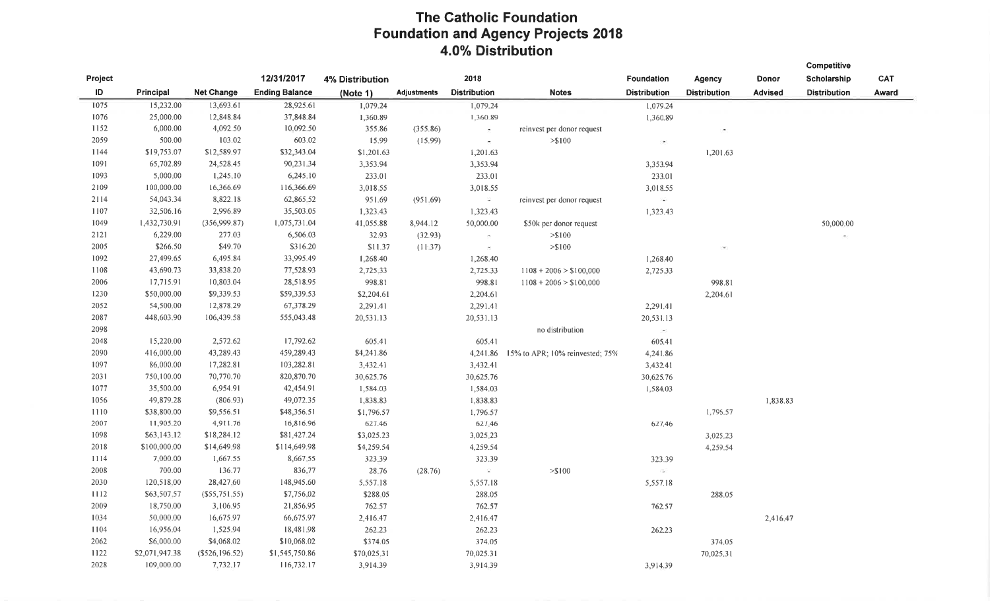# **The Catholic Foundation Foundation and Agency Projects 2018** 4.0% Distribution

|         |                |                   |                       |                        |                    |                     |                                 |                     |                     |                | Competitive              |            |
|---------|----------------|-------------------|-----------------------|------------------------|--------------------|---------------------|---------------------------------|---------------------|---------------------|----------------|--------------------------|------------|
| Project |                |                   | 12/31/2017            | <b>4% Distribution</b> |                    | 2018                |                                 | Foundation          | Agency              | <b>Donor</b>   | Scholarship              | <b>CAT</b> |
| ID      | Principal      | <b>Net Change</b> | <b>Ending Balance</b> | (Note 1)               | <b>Adjustments</b> | <b>Distribution</b> | <b>Notes</b>                    | <b>Distribution</b> | <b>Distribution</b> | <b>Advised</b> | <b>Distribution</b>      | Award      |
| 1075    | 15,232.00      | 13,693.61         | 28,925.61             | 1,079.24               |                    | 1,079.24            |                                 | 1,079.24            |                     |                |                          |            |
| 1076    | 25,000.00      | 12,848.84         | 37,848.84             | 1,360.89               |                    | 1,360.89            |                                 | 1,360.89            |                     |                |                          |            |
| 1152    | 6,000.00       | 4,092.50          | 10,092.50             | 355.86                 | (355.86)           | $\sim$              | reinvest per donor request      |                     |                     |                |                          |            |
| 2059    | 500.00         | 103.02            | 603.02                | 15.99                  | (15.99)            | $\sim$              | > \$100                         | œ,                  |                     |                |                          |            |
| 1144    | \$19,753.07    | \$12,589.97       | \$32,343.04           | \$1,201.63             |                    | 1,201.63            |                                 |                     | 1,201.63            |                |                          |            |
| 1091    | 65,702.89      | 24,528.45         | 90,231.34             | 3,353.94               |                    | 3,353.94            |                                 | 3,353.94            |                     |                |                          |            |
| 1093    | 5,000.00       | 1,245.10          | 6,245.10              | 233.01                 |                    | 233.01              |                                 | 233.01              |                     |                |                          |            |
| 2109    | 100,000.00     | 16,366.69         | 116,366.69            | 3,018.55               |                    | 3,018.55            |                                 | 3,018.55            |                     |                |                          |            |
| 2114    | 54,043.34      | 8,822.18          | 62,865,52             | 951.69                 | (951.69)           | $\overline{\omega}$ | reinvest per donor request      | $\omega$            |                     |                |                          |            |
| 1107    | 32,506.16      | 2,996.89          | 35,503.05             | 1,323.43               |                    | 1,323.43            |                                 | 1,323.43            |                     |                |                          |            |
| 1049    | 1,432,730.91   | (356,999.87)      | 1,075,731.04          | 41,055.88              | 8,944.12           | 50,000.00           | \$50k per donor request         |                     |                     |                | 50,000,00                |            |
| 2121    | 6,229.00       | 277.03            | 6,506.03              | 32,93                  | (32.93)            | $\sim$              | > \$100                         |                     |                     |                | $\overline{\phantom{a}}$ |            |
| 2005    | \$266.50       | \$49.70           | \$316.20              | \$11.37                | (11.37)            | $\sim$              | > \$100                         |                     |                     |                |                          |            |
| 1092    | 27,499.65      | 6,495.84          | 33,995.49             | 1,268.40               |                    | 1,268.40            |                                 | 1,268.40            |                     |                |                          |            |
| 1108    | 43,690.73      | 33,838.20         | 77,528.93             | 2,725.33               |                    | 2,725.33            | $1108 + 2006 > $100,000$        | 2,725.33            |                     |                |                          |            |
| 2006    | 17,715.91      | 10,803.04         | 28,518.95             | 998.81                 |                    | 998.81              | $1108 + 2006 > $100,000$        |                     | 998.81              |                |                          |            |
| 1230    | \$50,000.00    | \$9,339.53        | \$59,339.53           | \$2,204.61             |                    | 2,204.61            |                                 |                     | 2,204.61            |                |                          |            |
| 2052    | 54,500.00      | 12,878.29         | 67,378.29             | 2,291.41               |                    | 2,291.41            |                                 | 2,291.41            |                     |                |                          |            |
| 2087    | 448,603.90     | 106,439.58        | 555,043.48            | 20,531.13              |                    | 20,531.13           |                                 | 20,531.13           |                     |                |                          |            |
| 2098    |                |                   |                       |                        |                    |                     | no distribution                 | $\geq$              |                     |                |                          |            |
| 2048    | 15,220.00      | 2,572.62          | 17,792.62             | 605.41                 |                    | 605.41              |                                 | 605.41              |                     |                |                          |            |
| 2090    | 416,000.00     | 43,289.43         | 459,289.43            | \$4,241.86             |                    | 4,241.86            | 15% to APR; 10% reinvested; 75% | 4,241.86            |                     |                |                          |            |
| 1097    | 86,000.00      | 17,282.81         | 103,282.81            | 3,432.41               |                    | 3,432.41            |                                 | 3,432.41            |                     |                |                          |            |
| 2031    | 750,100.00     | 70,770.70         | 820,870.70            | 30,625.76              |                    | 30,625.76           |                                 | 30,625.76           |                     |                |                          |            |
| 1077    | 35,500.00      | 6,954.91          | 42,454.91             | 1,584.03               |                    | 1,584.03            |                                 | 1,584.03            |                     |                |                          |            |
| 1056    | 49,879.28      | (806.93)          | 49,072.35             | 1,838.83               |                    | 1,838.83            |                                 |                     |                     | 1,838.83       |                          |            |
| 1110    | \$38,800.00    | \$9,556.51        | \$48,356.51           | \$1,796.57             |                    | 1,796.57            |                                 |                     | 1,796.57            |                |                          |            |
| 2007    | 11,905.20      | 4,911.76          | 16,816.96             | 627.46                 |                    | 627.46              |                                 | 627.46              |                     |                |                          |            |
| 1098    | \$63,143.12    | \$18,284.12       | \$81,427.24           | \$3,025.23             |                    | 3,025.23            |                                 |                     | 3,025.23            |                |                          |            |
| 2018    | \$100,000.00   | \$14,649.98       | \$114,649.98          | \$4,259.54             |                    | 4,259.54            |                                 |                     | 4,259.54            |                |                          |            |
| 1114    | 7,000.00       | 1,667.55          | 8,667.55              | 323.39                 |                    | 323.39              |                                 | 323.39              |                     |                |                          |            |
| 2008    | 700.00         | 136.77            | 836.77                | 28.76                  | (28.76)            | $\equiv$            | > \$100                         | ÷                   |                     |                |                          |            |
| 2030    | 120,518,00     | 28,427.60         | 148,945.60            | 5,557.18               |                    | 5,557.18            |                                 | 5,557.18            |                     |                |                          |            |
| 1112    | \$63,507,57    | (\$55,751.55)     | \$7,756.02            | \$288.05               |                    | 288.05              |                                 |                     | 288.05              |                |                          |            |
| 2009    | 18,750.00      | 3,106.95          | 21,856.95             | 762.57                 |                    | 762.57              |                                 | 762.57              |                     |                |                          |            |
| 1034    | 50,000,00      | 16,675.97         | 66,675.97             | 2,416.47               |                    | 2,416.47            |                                 |                     |                     | 2,416.47       |                          |            |
| 1104    | 16,956.04      | 1,525.94          | 18,481,98             | 262.23                 |                    | 262.23              |                                 | 262.23              |                     |                |                          |            |
| 2062    | \$6,000.00     | \$4,068.02        | \$10,068.02           | \$374.05               |                    | 374.05              |                                 |                     | 374.05              |                |                          |            |
| 1122    | \$2,071,947.38 | (\$526,196.52)    | \$1,545,750.86        | \$70,025.31            |                    | 70,025.31           |                                 |                     | 70,025.31           |                |                          |            |
| 2028    | 109,000.00     | 7,732.17          | 116,732.17            | 3,914.39               |                    | 3,914.39            |                                 | 3,914.39            |                     |                |                          |            |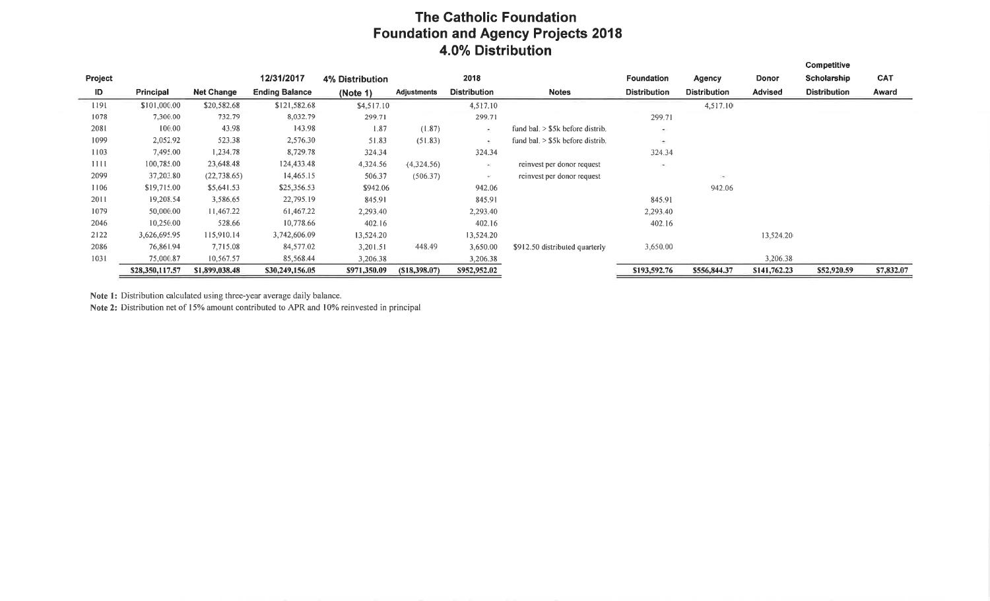# **The Catholic Foundation Foundation and Agency Projects 2018**<br>4.0% Distribution

|         |                  |                   |                       |                        |                    |                     |                                       |                          |                     |                | Competitive         |            |
|---------|------------------|-------------------|-----------------------|------------------------|--------------------|---------------------|---------------------------------------|--------------------------|---------------------|----------------|---------------------|------------|
| Project |                  |                   | 12/31/2017            | <b>4% Distribution</b> |                    | 2018                |                                       | <b>Foundation</b>        | Agency              | <b>Donor</b>   | Scholarship         | <b>CAT</b> |
| ID      | <b>Principal</b> | <b>Net Change</b> | <b>Ending Balance</b> | (Note 1)               | <b>Adjustments</b> | <b>Distribution</b> | <b>Notes</b>                          | <b>Distribution</b>      | <b>Distribution</b> | <b>Advised</b> | <b>Distribution</b> | Award      |
| 1191    | \$101,000.00     | \$20,582.68       | \$121,582.68          | \$4,517.10             |                    | 4,517.10            |                                       |                          | 4,517.10            |                |                     |            |
| 1078    | 7,300.00         | 732.79            | 8,032.79              | 299.71                 |                    | 299.71              |                                       | 299.71                   |                     |                |                     |            |
| 2081    | 100.00           | 43.98             | 143.98                | 1.87                   | (1.87)             | $\bullet$           | fund bal, $>$ \$5 $k$ before distrib. | $\overline{\phantom{a}}$ |                     |                |                     |            |
| 1099    | 2,052.92         | 523.38            | 2,576.30              | 51.83                  | (51.83)            | ٠.                  | fund bal. > \$5k before distrib.      | $\sim$                   |                     |                |                     |            |
| 1103    | 7,495.00         | 1,234.78          | 8,729.78              | 324.34                 |                    | 324.34              |                                       | 324.34                   |                     |                |                     |            |
| 1111    | 100,785.00       | 23,648.48         | 124,433.48            | 4,324.56               | (4,324.56)         | ×.                  | reinvest per donor request            | $\blacksquare$           |                     |                |                     |            |
| 2099    | 37,203.80        | (22, 738.65)      | 14,465.15             | 506.37                 | (506.37)           | $\mathbf{a}$        | reinvest per donor request            |                          | $\sim$              |                |                     |            |
| 1106    | \$19,715.00      | \$5,641.53        | \$25,356.53           | \$942.06               |                    | 942.06              |                                       |                          | 942.06              |                |                     |            |
| 2011    | 19,208.54        | 3,586.65          | 22,795.19             | 845.91                 |                    | 845.91              |                                       | 845.91                   |                     |                |                     |            |
| 1079    | 50,000.00        | 11,467.22         | 61,467.22             | 2,293.40               |                    | 2,293.40            |                                       | 2,293.40                 |                     |                |                     |            |
| 2046    | 10,250.00        | 528.66            | 10,778.66             | 402.16                 |                    | 402.16              |                                       | 402.16                   |                     |                |                     |            |
| 2122    | 3,626,695.95     | 115,910.14        | 3,742,606.09          | 13,524.20              |                    | 13,524.20           |                                       |                          |                     | 13,524.20      |                     |            |
| 2086    | 76,861.94        | 7,715.08          | 84,577.02             | 3,201.51               | 448.49             | 3,650.00            | \$912.50 distributed quarterly        | 3,650.00                 |                     |                |                     |            |
| 1031    | 75,000.87        | 10,567.57         | 85,568.44             | 3,206.38               |                    | 3,206.38            |                                       |                          |                     | 3,206.38       |                     |            |
|         | \$28,350,117.57  | \$1,899,038.48    | \$30,249,156.05       | \$971,350.09           | (S18, 398.07)      | \$952,952.02        |                                       | \$193,592.76             | \$556,844.37        | \$141,762.23   | \$52,920.59         | \$7,832.07 |

Note 1: Distribution calculated using three-year average daily balance.

Note 2: Distribution net of 15% amount contributed to APR and 10% reinvested in principal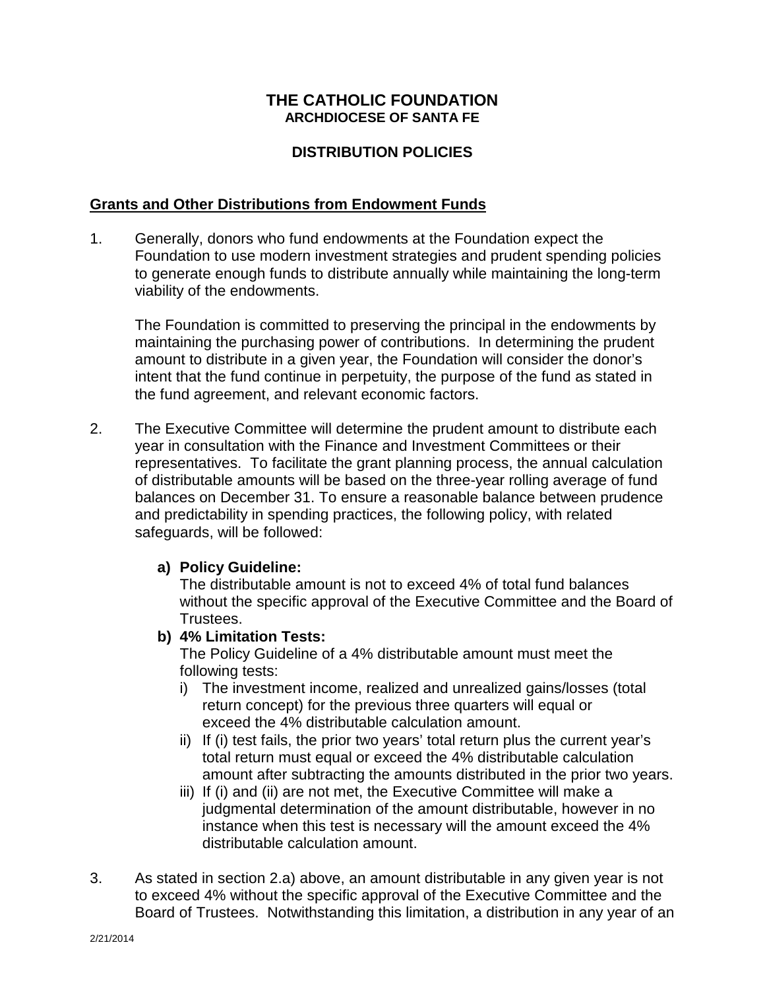### **THE CATHOLIC FOUNDATION ARCHDIOCESE OF SANTA FE**

## **DISTRIBUTION POLICIES**

### **Grants and Other Distributions from Endowment Funds**

1. Generally, donors who fund endowments at the Foundation expect the Foundation to use modern investment strategies and prudent spending policies to generate enough funds to distribute annually while maintaining the long-term viability of the endowments.

The Foundation is committed to preserving the principal in the endowments by maintaining the purchasing power of contributions. In determining the prudent amount to distribute in a given year, the Foundation will consider the donor's intent that the fund continue in perpetuity, the purpose of the fund as stated in the fund agreement, and relevant economic factors.

2. The Executive Committee will determine the prudent amount to distribute each year in consultation with the Finance and Investment Committees or their representatives. To facilitate the grant planning process, the annual calculation of distributable amounts will be based on the three-year rolling average of fund balances on December 31. To ensure a reasonable balance between prudence and predictability in spending practices, the following policy, with related safeguards, will be followed:

### **a) Policy Guideline:**

The distributable amount is not to exceed 4% of total fund balances without the specific approval of the Executive Committee and the Board of Trustees.

### **b) 4% Limitation Tests:**

The Policy Guideline of a 4% distributable amount must meet the following tests:

- i) The investment income, realized and unrealized gains/losses (total return concept) for the previous three quarters will equal or exceed the 4% distributable calculation amount.
- ii) If (i) test fails, the prior two years' total return plus the current year's total return must equal or exceed the 4% distributable calculation amount after subtracting the amounts distributed in the prior two years.
- iii) If (i) and (ii) are not met, the Executive Committee will make a judgmental determination of the amount distributable, however in no instance when this test is necessary will the amount exceed the 4% distributable calculation amount.
- 3. As stated in section 2.a) above, an amount distributable in any given year is not to exceed 4% without the specific approval of the Executive Committee and the Board of Trustees. Notwithstanding this limitation, a distribution in any year of an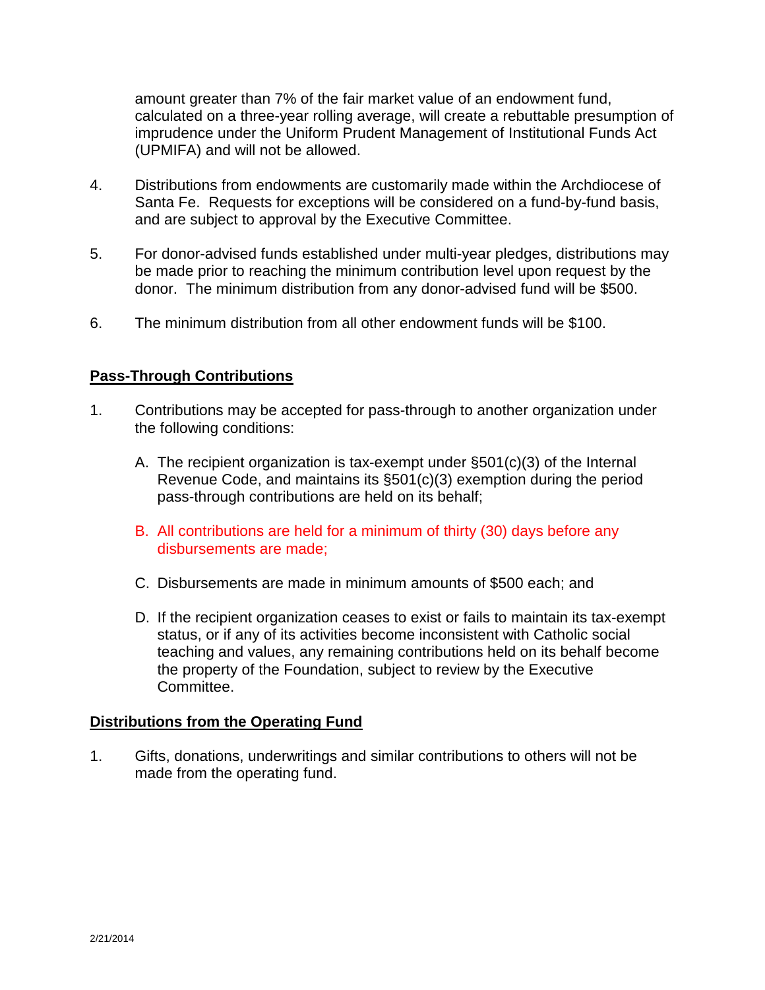amount greater than 7% of the fair market value of an endowment fund, calculated on a three-year rolling average, will create a rebuttable presumption of imprudence under the Uniform Prudent Management of Institutional Funds Act (UPMIFA) and will not be allowed.

- 4. Distributions from endowments are customarily made within the Archdiocese of Santa Fe. Requests for exceptions will be considered on a fund-by-fund basis, and are subject to approval by the Executive Committee.
- 5. For donor-advised funds established under multi-year pledges, distributions may be made prior to reaching the minimum contribution level upon request by the donor. The minimum distribution from any donor-advised fund will be \$500.
- 6. The minimum distribution from all other endowment funds will be \$100.

### **Pass-Through Contributions**

- 1. Contributions may be accepted for pass-through to another organization under the following conditions:
	- A. The recipient organization is tax-exempt under §501(c)(3) of the Internal Revenue Code, and maintains its §501(c)(3) exemption during the period pass-through contributions are held on its behalf;
	- B. All contributions are held for a minimum of thirty (30) days before any disbursements are made;
	- C. Disbursements are made in minimum amounts of \$500 each; and
	- D. If the recipient organization ceases to exist or fails to maintain its tax-exempt status, or if any of its activities become inconsistent with Catholic social teaching and values, any remaining contributions held on its behalf become the property of the Foundation, subject to review by the Executive Committee.

### **Distributions from the Operating Fund**

1. Gifts, donations, underwritings and similar contributions to others will not be made from the operating fund.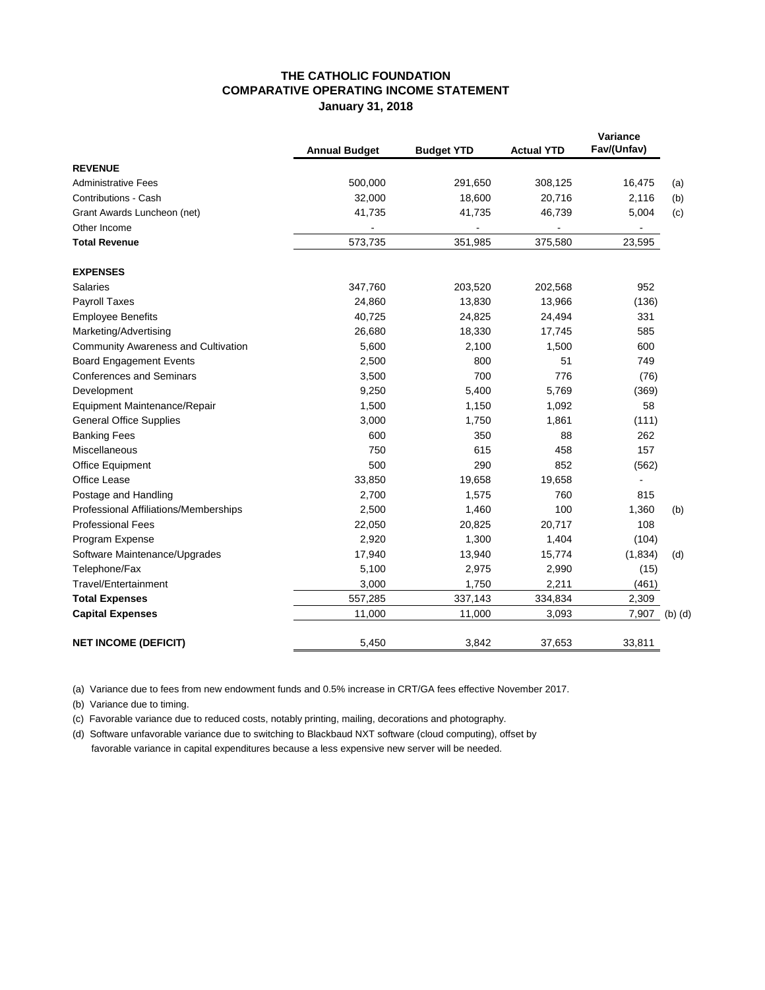#### **January 31, 2018 COMPARATIVE OPERATING INCOME STATEMENT THE CATHOLIC FOUNDATION**

|                                            | <b>Annual Budget</b> | <b>Budget YTD</b> | <b>Actual YTD</b> | Variance<br>Fav/(Unfav) |     |
|--------------------------------------------|----------------------|-------------------|-------------------|-------------------------|-----|
| <b>REVENUE</b>                             |                      |                   |                   |                         |     |
| <b>Administrative Fees</b>                 | 500,000              | 291,650           | 308,125           | 16,475                  | (a) |
| Contributions - Cash                       | 32,000               | 18,600            | 20,716            | 2,116                   | (b) |
| Grant Awards Luncheon (net)                | 41,735               | 41,735            | 46,739            | 5,004                   | (c) |
| Other Income                               |                      |                   |                   |                         |     |
| <b>Total Revenue</b>                       | 573,735              | 351,985           | 375,580           | 23,595                  |     |
| <b>EXPENSES</b>                            |                      |                   |                   |                         |     |
| <b>Salaries</b>                            | 347,760              | 203,520           | 202,568           | 952                     |     |
| Payroll Taxes                              | 24,860               | 13,830            | 13,966            | (136)                   |     |
| <b>Employee Benefits</b>                   | 40,725               | 24,825            | 24,494            | 331                     |     |
| Marketing/Advertising                      | 26,680               | 18,330            | 17,745            | 585                     |     |
| <b>Community Awareness and Cultivation</b> | 5,600                | 2,100             | 1,500             | 600                     |     |
| <b>Board Engagement Events</b>             | 2,500                | 800               | 51                | 749                     |     |
| <b>Conferences and Seminars</b>            | 3,500                | 700               | 776               | (76)                    |     |
| Development                                | 9,250                | 5,400             | 5,769             | (369)                   |     |
| Equipment Maintenance/Repair               | 1,500                | 1,150             | 1,092             | 58                      |     |
| <b>General Office Supplies</b>             | 3,000                | 1,750             | 1,861             | (111)                   |     |
| <b>Banking Fees</b>                        | 600                  | 350               | 88                | 262                     |     |
| Miscellaneous                              | 750                  | 615               | 458               | 157                     |     |
| Office Equipment                           | 500                  | 290               | 852               | (562)                   |     |
| Office Lease                               | 33,850               | 19,658            | 19,658            | $\blacksquare$          |     |
| Postage and Handling                       | 2,700                | 1,575             | 760               | 815                     |     |
| Professional Affiliations/Memberships      | 2,500                | 1,460             | 100               | 1,360                   | (b) |
| <b>Professional Fees</b>                   | 22,050               | 20,825            | 20,717            | 108                     |     |
| Program Expense                            | 2,920                | 1,300             | 1,404             | (104)                   |     |
| Software Maintenance/Upgrades              | 17,940               | 13,940            | 15,774            | (1,834)                 | (d) |
| Telephone/Fax                              | 5,100                | 2,975             | 2,990             | (15)                    |     |
| Travel/Entertainment                       | 3,000                | 1,750             | 2,211             | (461)                   |     |
| <b>Total Expenses</b>                      | 557,285              | 337,143           | 334,834           | 2,309                   |     |
| <b>Capital Expenses</b>                    | 11,000               | 11,000            | 3,093             | 7,907 (b) (d)           |     |
| <b>NET INCOME (DEFICIT)</b>                | 5,450                | 3,842             | 37,653            | 33,811                  |     |

(a) Variance due to fees from new endowment funds and 0.5% increase in CRT/GA fees effective November 2017.

(b) Variance due to timing.

(c) Favorable variance due to reduced costs, notably printing, mailing, decorations and photography.

(d) Software unfavorable variance due to switching to Blackbaud NXT software (cloud computing), offset by favorable variance in capital expenditures because a less expensive new server will be needed.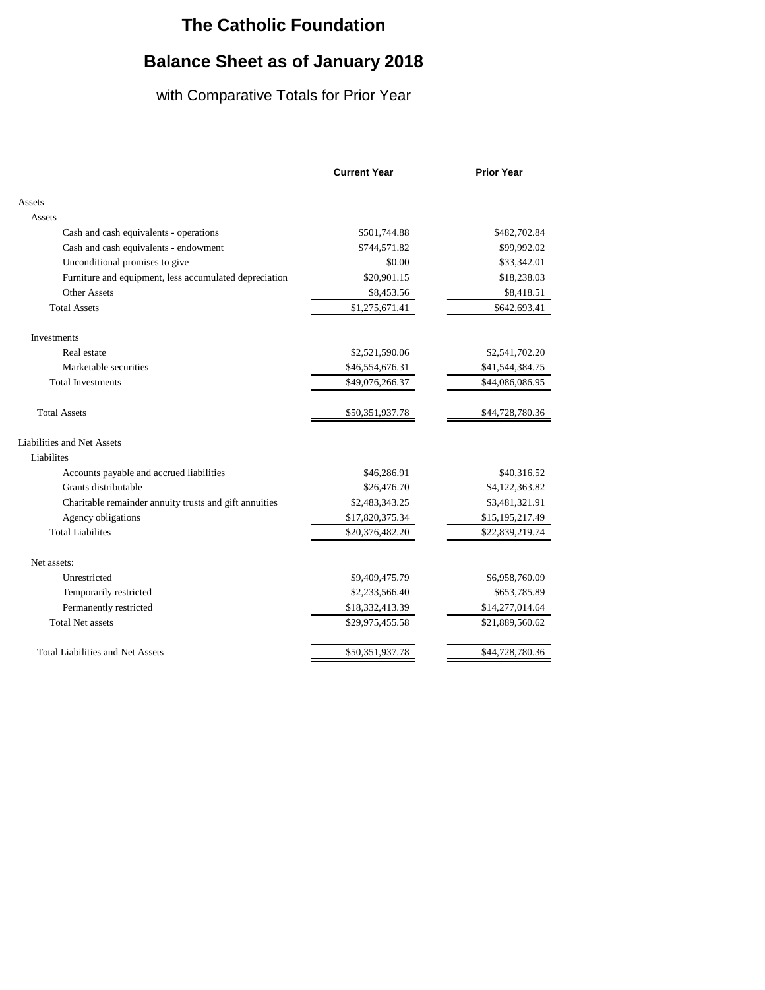# **The Catholic Foundation**

# **Balance Sheet as of January 2018**

# with Comparative Totals for Prior Year

|                                                        | <b>Current Year</b> | <b>Prior Year</b> |
|--------------------------------------------------------|---------------------|-------------------|
|                                                        |                     |                   |
| Assets                                                 |                     |                   |
| Assets                                                 |                     |                   |
| Cash and cash equivalents - operations                 | \$501,744.88        | \$482,702.84      |
| Cash and cash equivalents - endowment                  | \$744,571.82        | \$99,992.02       |
| Unconditional promises to give                         | \$0.00              | \$33,342.01       |
| Furniture and equipment, less accumulated depreciation | \$20,901.15         | \$18,238.03       |
| <b>Other Assets</b>                                    | \$8,453.56          | \$8,418.51        |
| <b>Total Assets</b>                                    | \$1,275,671.41      | \$642,693.41      |
| Investments                                            |                     |                   |
| Real estate                                            | \$2,521,590.06      | \$2,541,702.20    |
| Marketable securities                                  | \$46,554,676.31     | \$41,544,384.75   |
| <b>Total Investments</b>                               | \$49,076,266.37     | \$44,086,086.95   |
| <b>Total Assets</b>                                    | \$50,351,937.78     | \$44,728,780.36   |
| Liabilities and Net Assets                             |                     |                   |
| Liabilites                                             |                     |                   |
| Accounts payable and accrued liabilities               | \$46,286.91         | \$40,316.52       |
| Grants distributable                                   | \$26,476.70         | \$4,122,363.82    |
| Charitable remainder annuity trusts and gift annuities | \$2,483,343.25      | \$3,481,321.91    |
| Agency obligations                                     | \$17,820,375.34     | \$15,195,217.49   |
| <b>Total Liabilites</b>                                | \$20,376,482.20     | \$22,839,219.74   |
| Net assets:                                            |                     |                   |
| Unrestricted                                           | \$9,409,475.79      | \$6,958,760.09    |
| Temporarily restricted                                 | \$2,233,566.40      | \$653,785.89      |
| Permanently restricted                                 | \$18,332,413.39     | \$14,277,014.64   |
| <b>Total Net assets</b>                                | \$29,975,455.58     | \$21,889,560.62   |
|                                                        |                     |                   |
| <b>Total Liabilities and Net Assets</b>                | \$50,351,937.78     | \$44,728,780.36   |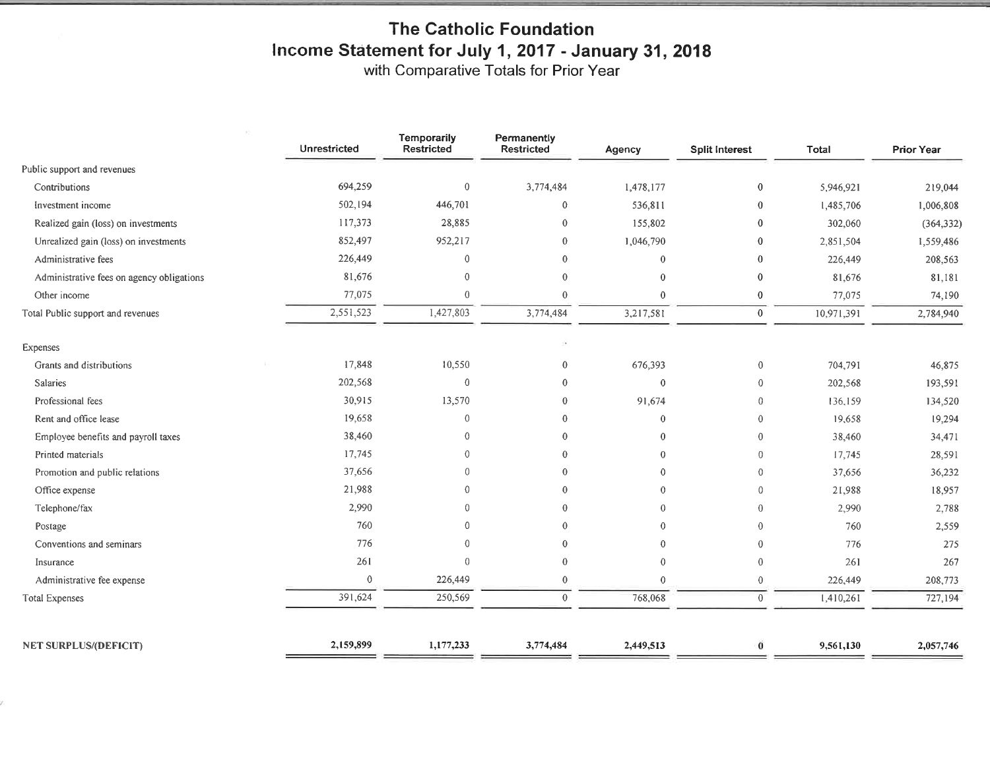# **The Catholic Foundation** Income Statement for July 1, 2017 - January 31, 2018<br>with Comparative Totals for Prior Year

|                                           | Unrestricted | Temporarily<br><b>Restricted</b> | Permanently<br>Restricted | Agency         | <b>Split Interest</b> | Total      | <b>Prior Year</b> |
|-------------------------------------------|--------------|----------------------------------|---------------------------|----------------|-----------------------|------------|-------------------|
| Public support and revenues               |              |                                  |                           |                |                       |            |                   |
| Contributions                             | 694,259      | $\mathbf{0}$                     | 3,774,484                 | 1,478,177      | $\bf{0}$              | 5,946,921  | 219,044           |
| Investment income                         | 502,194      | 446,701                          | $\mathbf{0}$              | 536,811        | $\bf{0}$              | 1,485,706  | 1,006,808         |
| Realized gain (loss) on investments       | 117,373      | 28,885                           | $\mathbf{0}$              | 155,802        | $\theta$              | 302,060    | (364, 332)        |
| Unrealized gain (loss) on investments     | 852,497      | 952,217                          | $\mathbf{0}$              | 1,046,790      | $\Omega$              | 2,851,504  | 1,559,486         |
| Administrative fees                       | 226,449      | $\mathbf 0$                      | $\bf{0}$                  | $\bf{0}$       | $\theta$              | 226,449    | 208,563           |
| Administrative fees on agency obligations | 81,676       | $\mathbf{0}$                     | $\theta$                  | $\mathbf{0}$   | $\Omega$              | 81,676     | 81,181            |
| Other income                              | 77,075       | $\overline{0}$                   | $\mathbf{0}$              | $\mathbf{0}$   | $\theta$              | 77,075     | 74,190            |
| Total Public support and revenues         | 2,551,523    | 1,427,803                        | 3,774,484                 | 3,217,581      | $\mathbf{0}$          | 10,971,391 | 2,784,940         |
| Expenses                                  |              |                                  |                           |                |                       |            |                   |
| Grants and distributions                  | 17,848       | 10,550                           | $\mathbf{0}$              | 676,393        | $\mathbf{0}$          | 704,791    | 46,875            |
| Salaries                                  | 202,568      | $\mathbf{0}$                     | $\mathbf{0}$              | $\mathbf{0}$   | $\mathbf{0}$          | 202,568    | 193,591           |
| Professional fees                         | 30,915       | 13,570                           | $\mathbf{0}$              | 91,674         | $\theta$              | 136,159    | 134,520           |
| Rent and office lease                     | 19,658       | $\mathbf{0}$                     | $\mathbf{0}$              | $\overline{0}$ | $\theta$              | 19,658     | 19,294            |
| Employee benefits and payroll taxes       | 38,460       | $\theta$                         | $\mathbf{0}$              | $\overline{0}$ | $\theta$              | 38,460     | 34,471            |
| Printed materials                         | 17,745       | $\Omega$                         | $\mathbf{0}$              | 0              | $\theta$              | 17,745     | 28,591            |
| Promotion and public relations            | 37,656       | $\Omega$                         | $\overline{0}$            | $\mathbf{0}$   | $\theta$              | 37,656     | 36,232            |
| Office expense                            | 21,988       | $\Omega$                         | $\bf{0}$                  | 0              | $\theta$              | 21,988     | 18,957            |
| Telephone/fax                             | 2,990        | $\Omega$                         | $\mathbf{0}$              | $\Omega$       | $\theta$              | 2,990      | 2,788             |
| Postage                                   | 760          | $\Omega$                         | $\mathbf{0}$              | 0              | $\theta$              | 760        | 2,559             |
| Conventions and seminars                  | 776          | $\Omega$                         | $\mathbf{0}$              | 0              | $\theta$              | 776        | 275               |
| Insurance                                 | 261          | $\Omega$                         | $\mathbf{0}$              | 0              | $\theta$              | 261        | 267               |
| Administrative fee expense                | $\mathbf{0}$ | 226,449                          | $\theta$                  | $\Omega$       | $\mathbf{0}$          | 226,449    | 208,773           |
| <b>Total Expenses</b>                     | 391,624      | 250,569                          | $\overline{0}$            | 768,068        | $\overline{0}$        | 1,410,261  | 727,194           |
| NET SURPLUS/(DEFICIT)                     | 2,159,899    | 1,177,233                        | 3,774,484                 | 2,449,513      | 0                     | 9,561,130  | 2,057,746         |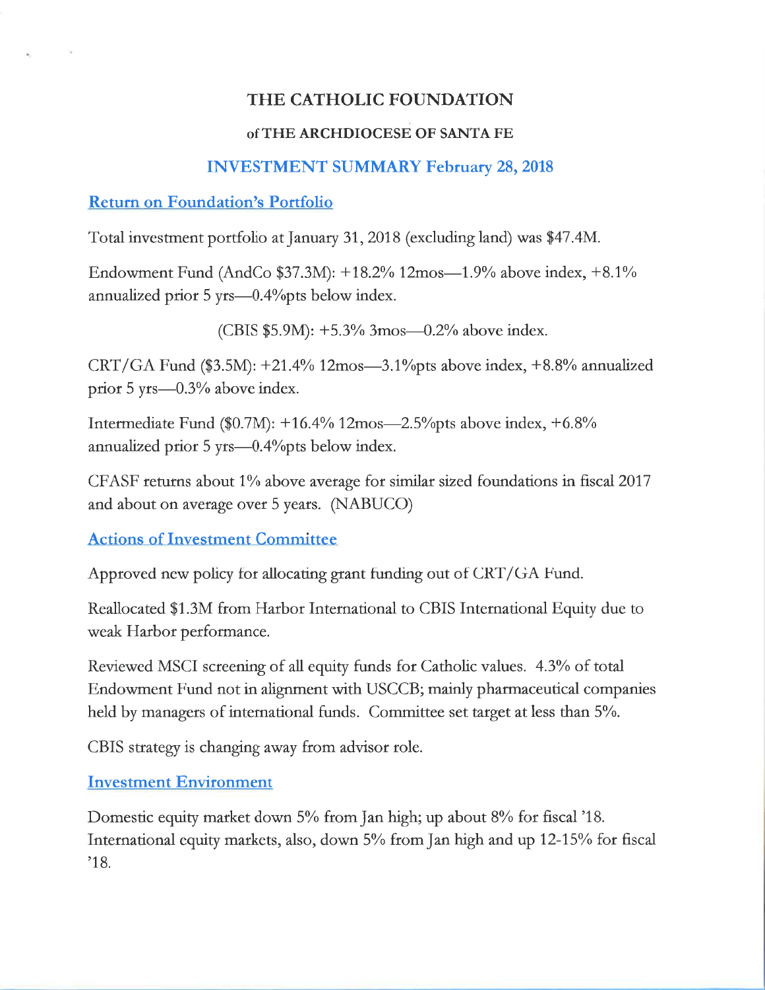# THE CATHOLIC FOUNDATION

## of THE ARCHDIOCESE OF SANTA FE

# **INVESTMENT SUMMARY February 28, 2018**

# **Return on Foundation's Portfolio**

Total investment portfolio at January 31, 2018 (excluding land) was \$47.4M.

Endowment Fund (AndCo \$37.3M): +18.2% 12mos-1.9% above index, +8.1% annualized prior 5 yrs—0.4% pts below index.

(CBIS  $$5.9M$ ):  $+5.3\%$  3mos -0.2% above index.

CRT/GA Fund  $(\$3.5M$ : +21.4% 12mos-3.1%pts above index, +8.8% annualized prior  $5 \text{ yrs}$ —0.3% above index.

Intermediate Fund (\$0.7M):  $+16.4\%$  12mos—2.5% pts above index,  $+6.8\%$ annualized prior 5 yrs—0.4% pts below index.

CFASF returns about 1% above average for similar sized foundations in fiscal 2017 and about on average over 5 years. (NABUCO)

**Actions of Investment Committee** 

Approved new policy for allocating grant funding out of CRT/GA Fund.

Reallocated \$1.3M from Harbor International to CBIS International Equity due to weak Harbor performance.

Reviewed MSCI screening of all equity funds for Catholic values. 4.3% of total Endowment Fund not in alignment with USCCB; mainly pharmaceutical companies held by managers of international funds. Committee set target at less than 5%.

CBIS strategy is changing away from advisor role.

# **Investment Environment**

Domestic equity market down 5% from Jan high; up about 8% for fiscal '18. International equity markets, also, down 5% from Jan high and up 12-15% for fiscal  $^{\prime}18.$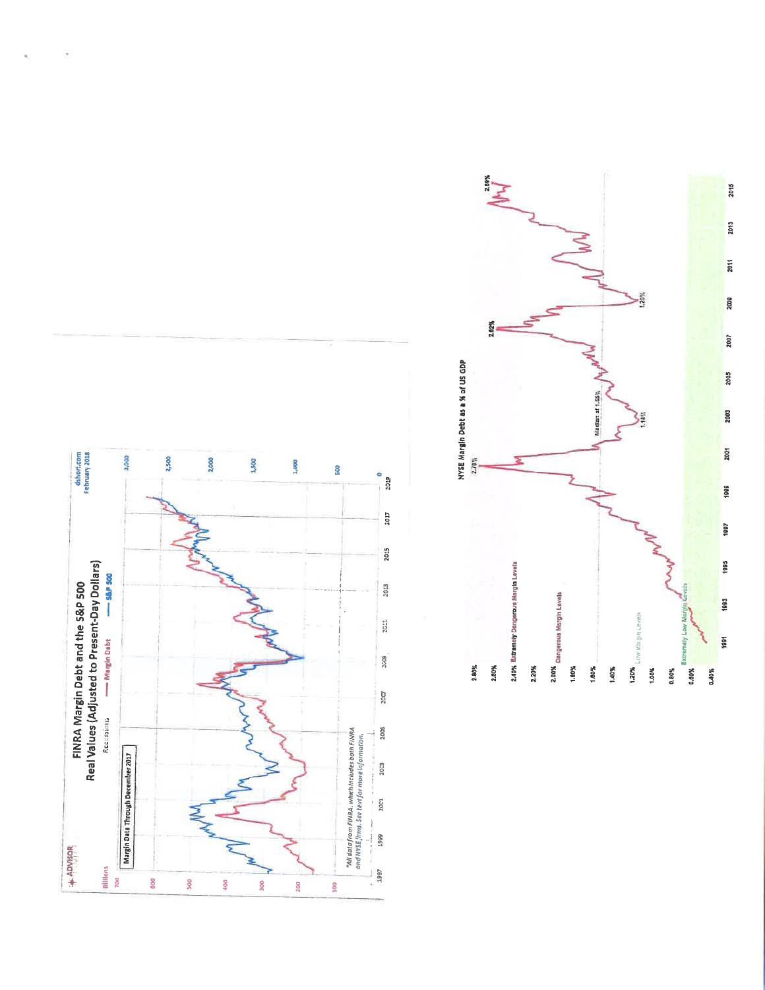